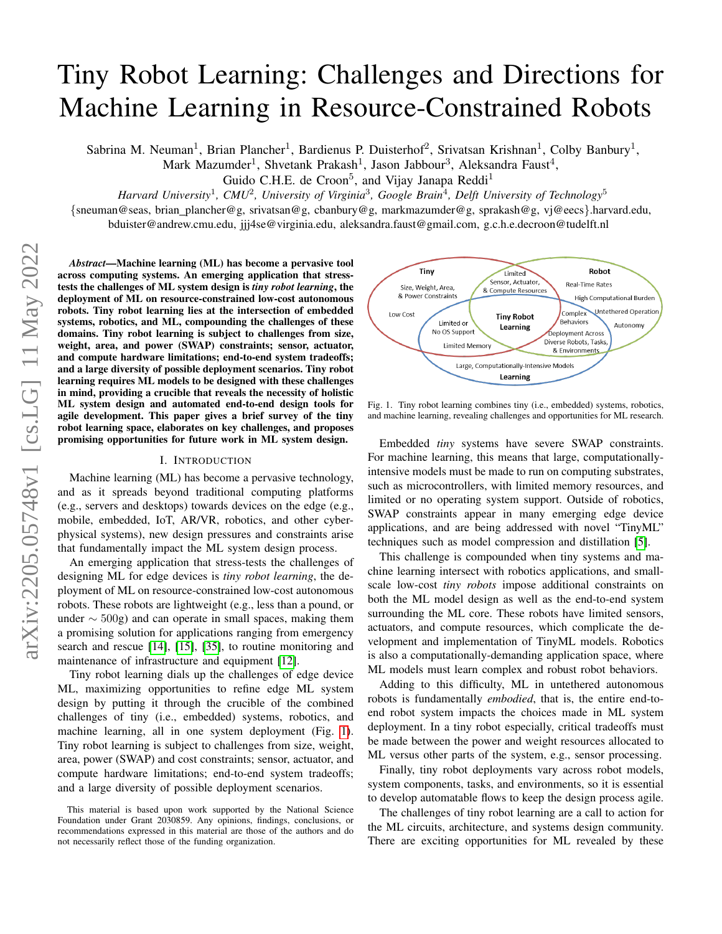# Tiny Robot Learning: Challenges and Directions for Machine Learning in Resource-Constrained Robots

Sabrina M. Neuman<sup>1</sup>, Brian Plancher<sup>1</sup>, Bardienus P. Duisterhof<sup>2</sup>, Srivatsan Krishnan<sup>1</sup>, Colby Banbury<sup>1</sup>,

Mark Mazumder<sup>1</sup>, Shvetank Prakash<sup>1</sup>, Jason Jabbour<sup>3</sup>, Aleksandra Faust<sup>4</sup>,

Guido C.H.E. de Croon<sup>5</sup>, and Vijay Janapa Reddi<sup>1</sup>

*Harvard University*<sup>1</sup>, CMU<sup>2</sup>, University of Virginia<sup>3</sup>, Google Brain<sup>4</sup>, Delft University of Technology<sup>5</sup>

{sneuman@seas, brian plancher@g, srivatsan@g, cbanbury@g, markmazumder@g, sprakash@g, vj@eecs}.harvard.edu, bduister@andrew.cmu.edu, jjj4se@virginia.edu, aleksandra.faust@gmail.com, g.c.h.e.decroon@tudelft.nl

*Abstract*—Machine learning (ML) has become a pervasive tool across computing systems. An emerging application that stresstests the challenges of ML system design is *tiny robot learning*, the deployment of ML on resource-constrained low-cost autonomous robots. Tiny robot learning lies at the intersection of embedded systems, robotics, and ML, compounding the challenges of these domains. Tiny robot learning is subject to challenges from size, weight, area, and power (SWAP) constraints; sensor, actuator, and compute hardware limitations; end-to-end system tradeoffs; and a large diversity of possible deployment scenarios. Tiny robot learning requires ML models to be designed with these challenges in mind, providing a crucible that reveals the necessity of holistic ML system design and automated end-to-end design tools for agile development. This paper gives a brief survey of the tiny robot learning space, elaborates on key challenges, and proposes promising opportunities for future work in ML system design.

# I. INTRODUCTION

Machine learning (ML) has become a pervasive technology, and as it spreads beyond traditional computing platforms (e.g., servers and desktops) towards devices on the edge (e.g., mobile, embedded, IoT, AR/VR, robotics, and other cyberphysical systems), new design pressures and constraints arise that fundamentally impact the ML system design process.

An emerging application that stress-tests the challenges of designing ML for edge devices is *tiny robot learning*, the deployment of ML on resource-constrained low-cost autonomous robots. These robots are lightweight (e.g., less than a pound, or under  $\sim$  500g) and can operate in small spaces, making them a promising solution for applications ranging from emergency search and rescue [\[14\]](#page-3-0), [\[15\]](#page-3-1), [\[35\]](#page-3-2), to routine monitoring and maintenance of infrastructure and equipment [\[12\]](#page-3-3).

Tiny robot learning dials up the challenges of edge device ML, maximizing opportunities to refine edge ML system design by putting it through the crucible of the combined challenges of tiny (i.e., embedded) systems, robotics, and machine learning, all in one system deployment (Fig. [1\)](#page-0-0). Tiny robot learning is subject to challenges from size, weight, area, power (SWAP) and cost constraints; sensor, actuator, and compute hardware limitations; end-to-end system tradeoffs; and a large diversity of possible deployment scenarios.



<span id="page-0-0"></span>Fig. 1. Tiny robot learning combines tiny (i.e., embedded) systems, robotics, and machine learning, revealing challenges and opportunities for ML research.

Embedded *tiny* systems have severe SWAP constraints. For machine learning, this means that large, computationallyintensive models must be made to run on computing substrates, such as microcontrollers, with limited memory resources, and limited or no operating system support. Outside of robotics, SWAP constraints appear in many emerging edge device applications, and are being addressed with novel "TinyML" techniques such as model compression and distillation [\[5\]](#page-3-4).

This challenge is compounded when tiny systems and machine learning intersect with robotics applications, and smallscale low-cost *tiny robots* impose additional constraints on both the ML model design as well as the end-to-end system surrounding the ML core. These robots have limited sensors, actuators, and compute resources, which complicate the development and implementation of TinyML models. Robotics is also a computationally-demanding application space, where ML models must learn complex and robust robot behaviors.

Adding to this difficulty, ML in untethered autonomous robots is fundamentally *embodied*, that is, the entire end-toend robot system impacts the choices made in ML system deployment. In a tiny robot especially, critical tradeoffs must be made between the power and weight resources allocated to ML versus other parts of the system, e.g., sensor processing.

Finally, tiny robot deployments vary across robot models, system components, tasks, and environments, so it is essential to develop automatable flows to keep the design process agile.

The challenges of tiny robot learning are a call to action for the ML circuits, architecture, and systems design community. There are exciting opportunities for ML revealed by these

This material is based upon work supported by the National Science Foundation under Grant 2030859. Any opinions, findings, conclusions, or recommendations expressed in this material are those of the authors and do not necessarily reflect those of the funding organization.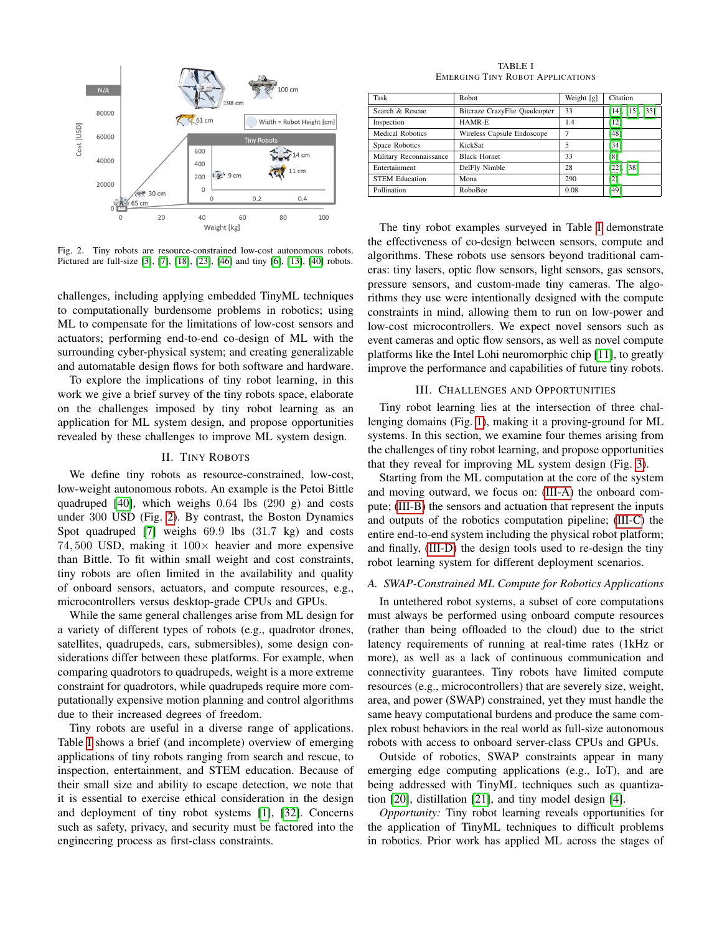

<span id="page-1-0"></span>Fig. 2. Tiny robots are resource-constrained low-cost autonomous robots. Pictured are full-size [\[3\]](#page-3-5), [\[7\]](#page-3-6), [\[18\]](#page-3-7), [\[23\]](#page-3-8), [\[46\]](#page-3-9) and tiny [\[6\]](#page-3-10), [\[13\]](#page-3-11), [\[40\]](#page-3-12) robots.

challenges, including applying embedded TinyML techniques to computationally burdensome problems in robotics; using ML to compensate for the limitations of low-cost sensors and actuators; performing end-to-end co-design of ML with the surrounding cyber-physical system; and creating generalizable and automatable design flows for both software and hardware.

To explore the implications of tiny robot learning, in this work we give a brief survey of the tiny robots space, elaborate on the challenges imposed by tiny robot learning as an application for ML system design, and propose opportunities revealed by these challenges to improve ML system design.

# II. TINY ROBOTS

We define tiny robots as resource-constrained, low-cost, low-weight autonomous robots. An example is the Petoi Bittle quadruped [\[40\]](#page-3-12), which weighs 0.64 lbs (290 g) and costs under 300 USD (Fig. [2\)](#page-1-0). By contrast, the Boston Dynamics Spot quadruped [\[7\]](#page-3-6) weighs 69.9 lbs (31.7 kg) and costs 74, 500 USD, making it  $100 \times$  heavier and more expensive than Bittle. To fit within small weight and cost constraints, tiny robots are often limited in the availability and quality of onboard sensors, actuators, and compute resources, e.g., microcontrollers versus desktop-grade CPUs and GPUs.

While the same general challenges arise from ML design for a variety of different types of robots (e.g., quadrotor drones, satellites, quadrupeds, cars, submersibles), some design considerations differ between these platforms. For example, when comparing quadrotors to quadrupeds, weight is a more extreme constraint for quadrotors, while quadrupeds require more computationally expensive motion planning and control algorithms due to their increased degrees of freedom.

Tiny robots are useful in a diverse range of applications. Table [I](#page-1-1) shows a brief (and incomplete) overview of emerging applications of tiny robots ranging from search and rescue, to inspection, entertainment, and STEM education. Because of their small size and ability to escape detection, we note that it is essential to exercise ethical consideration in the design and deployment of tiny robot systems [\[1\]](#page-3-13), [\[32\]](#page-3-14). Concerns such as safety, privacy, and security must be factored into the engineering process as first-class constraints.

TABLE I EMERGING TINY ROBOT APPLICATIONS

<span id="page-1-1"></span>

| Task                    | Robot                         | Weight [g] | Citation                 |
|-------------------------|-------------------------------|------------|--------------------------|
| Search & Rescue         | Bitcraze CrazyFlie Quadcopter | 33         | $[14]$ , $[15]$ , $[35]$ |
| Inspection              | HAMR-E                        | 1.4        | $[12]$                   |
| <b>Medical Robotics</b> | Wireless Capsule Endoscope    | ┑          | [48]                     |
| Space Robotics          | KickSat                       | 5          | $[34]$                   |
| Military Reconnaissance | <b>Black Hornet</b>           | 33         | [8]                      |
| Entertainment           | DelFly Nimble                 | 28         | $[22]$ , $[38]$          |
| <b>STEM Education</b>   | Mona                          | 290        | $\lceil 2 \rceil$        |
| Pollination             | RoboBee                       | 0.08       | [49]                     |

The tiny robot examples surveyed in Table [I](#page-1-1) demonstrate the effectiveness of co-design between sensors, compute and algorithms. These robots use sensors beyond traditional cameras: tiny lasers, optic flow sensors, light sensors, gas sensors, pressure sensors, and custom-made tiny cameras. The algorithms they use were intentionally designed with the compute constraints in mind, allowing them to run on low-power and low-cost microcontrollers. We expect novel sensors such as event cameras and optic flow sensors, as well as novel compute platforms like the Intel Lohi neuromorphic chip [\[11\]](#page-3-22), to greatly improve the performance and capabilities of future tiny robots.

# III. CHALLENGES AND OPPORTUNITIES

Tiny robot learning lies at the intersection of three challenging domains (Fig. [1\)](#page-0-0), making it a proving-ground for ML systems. In this section, we examine four themes arising from the challenges of tiny robot learning, and propose opportunities that they reveal for improving ML system design (Fig. [3\)](#page-2-0).

Starting from the ML computation at the core of the system and moving outward, we focus on: [\(III-A\)](#page-1-2) the onboard compute; [\(III-B\)](#page-2-1) the sensors and actuation that represent the inputs and outputs of the robotics computation pipeline; [\(III-C\)](#page-2-2) the entire end-to-end system including the physical robot platform; and finally, [\(III-D\)](#page-3-23) the design tools used to re-design the tiny robot learning system for different deployment scenarios.

## <span id="page-1-2"></span>*A. SWAP-Constrained ML Compute for Robotics Applications*

In untethered robot systems, a subset of core computations must always be performed using onboard compute resources (rather than being offloaded to the cloud) due to the strict latency requirements of running at real-time rates (1kHz or more), as well as a lack of continuous communication and connectivity guarantees. Tiny robots have limited compute resources (e.g., microcontrollers) that are severely size, weight, area, and power (SWAP) constrained, yet they must handle the same heavy computational burdens and produce the same complex robust behaviors in the real world as full-size autonomous robots with access to onboard server-class CPUs and GPUs.

Outside of robotics, SWAP constraints appear in many emerging edge computing applications (e.g., IoT), and are being addressed with TinyML techniques such as quantization [\[20\]](#page-3-24), distillation [\[21\]](#page-3-25), and tiny model design [\[4\]](#page-3-26).

*Opportunity:* Tiny robot learning reveals opportunities for the application of TinyML techniques to difficult problems in robotics. Prior work has applied ML across the stages of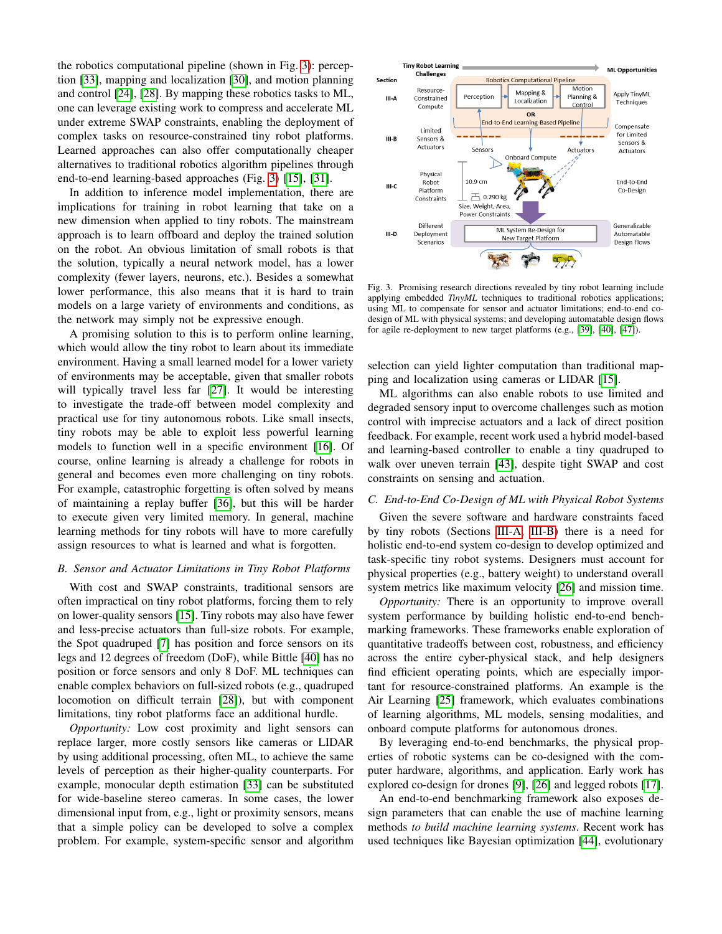the robotics computational pipeline (shown in Fig. [3\)](#page-2-0): perception [\[33\]](#page-3-27), mapping and localization [\[30\]](#page-3-28), and motion planning and control [\[24\]](#page-3-29), [\[28\]](#page-3-30). By mapping these robotics tasks to ML, one can leverage existing work to compress and accelerate ML under extreme SWAP constraints, enabling the deployment of complex tasks on resource-constrained tiny robot platforms. Learned approaches can also offer computationally cheaper alternatives to traditional robotics algorithm pipelines through end-to-end learning-based approaches (Fig. [3\)](#page-2-0) [\[15\]](#page-3-1), [\[31\]](#page-3-31).

In addition to inference model implementation, there are implications for training in robot learning that take on a new dimension when applied to tiny robots. The mainstream approach is to learn offboard and deploy the trained solution on the robot. An obvious limitation of small robots is that the solution, typically a neural network model, has a lower complexity (fewer layers, neurons, etc.). Besides a somewhat lower performance, this also means that it is hard to train models on a large variety of environments and conditions, as the network may simply not be expressive enough.

A promising solution to this is to perform online learning, which would allow the tiny robot to learn about its immediate environment. Having a small learned model for a lower variety of environments may be acceptable, given that smaller robots will typically travel less far [\[27\]](#page-3-32). It would be interesting to investigate the trade-off between model complexity and practical use for tiny autonomous robots. Like small insects, tiny robots may be able to exploit less powerful learning models to function well in a specific environment [\[16\]](#page-3-33). Of course, online learning is already a challenge for robots in general and becomes even more challenging on tiny robots. For example, catastrophic forgetting is often solved by means of maintaining a replay buffer [\[36\]](#page-3-34), but this will be harder to execute given very limited memory. In general, machine learning methods for tiny robots will have to more carefully assign resources to what is learned and what is forgotten.

#### <span id="page-2-1"></span>*B. Sensor and Actuator Limitations in Tiny Robot Platforms*

With cost and SWAP constraints, traditional sensors are often impractical on tiny robot platforms, forcing them to rely on lower-quality sensors [\[15\]](#page-3-1). Tiny robots may also have fewer and less-precise actuators than full-size robots. For example, the Spot quadruped [\[7\]](#page-3-6) has position and force sensors on its legs and 12 degrees of freedom (DoF), while Bittle [\[40\]](#page-3-12) has no position or force sensors and only 8 DoF. ML techniques can enable complex behaviors on full-sized robots (e.g., quadruped locomotion on difficult terrain [\[28\]](#page-3-30)), but with component limitations, tiny robot platforms face an additional hurdle.

*Opportunity:* Low cost proximity and light sensors can replace larger, more costly sensors like cameras or LIDAR by using additional processing, often ML, to achieve the same levels of perception as their higher-quality counterparts. For example, monocular depth estimation [\[33\]](#page-3-27) can be substituted for wide-baseline stereo cameras. In some cases, the lower dimensional input from, e.g., light or proximity sensors, means that a simple policy can be developed to solve a complex problem. For example, system-specific sensor and algorithm



<span id="page-2-0"></span>Fig. 3. Promising research directions revealed by tiny robot learning include applying embedded *TinyML* techniques to traditional robotics applications; using ML to compensate for sensor and actuator limitations; end-to-end codesign of ML with physical systems; and developing automatable design flows for agile re-deployment to new target platforms (e.g., [\[39\]](#page-3-35), [\[40\]](#page-3-12), [\[47\]](#page-3-36)).

selection can yield lighter computation than traditional mapping and localization using cameras or LIDAR [\[15\]](#page-3-1).

ML algorithms can also enable robots to use limited and degraded sensory input to overcome challenges such as motion control with imprecise actuators and a lack of direct position feedback. For example, recent work used a hybrid model-based and learning-based controller to enable a tiny quadruped to walk over uneven terrain [\[43\]](#page-3-37), despite tight SWAP and cost constraints on sensing and actuation.

# <span id="page-2-2"></span>*C. End-to-End Co-Design of ML with Physical Robot Systems*

Given the severe software and hardware constraints faced by tiny robots (Sections [III-A,](#page-1-2) [III-B\)](#page-2-1) there is a need for holistic end-to-end system co-design to develop optimized and task-specific tiny robot systems. Designers must account for physical properties (e.g., battery weight) to understand overall system metrics like maximum velocity [\[26\]](#page-3-38) and mission time.

*Opportunity:* There is an opportunity to improve overall system performance by building holistic end-to-end benchmarking frameworks. These frameworks enable exploration of quantitative tradeoffs between cost, robustness, and efficiency across the entire cyber-physical stack, and help designers find efficient operating points, which are especially important for resource-constrained platforms. An example is the Air Learning [\[25\]](#page-3-39) framework, which evaluates combinations of learning algorithms, ML models, sensing modalities, and onboard compute platforms for autonomous drones.

By leveraging end-to-end benchmarks, the physical properties of robotic systems can be co-designed with the computer hardware, algorithms, and application. Early work has explored co-design for drones [\[9\]](#page-3-40), [\[26\]](#page-3-38) and legged robots [\[17\]](#page-3-41).

An end-to-end benchmarking framework also exposes design parameters that can enable the use of machine learning methods *to build machine learning systems*. Recent work has used techniques like Bayesian optimization [\[44\]](#page-3-42), evolutionary